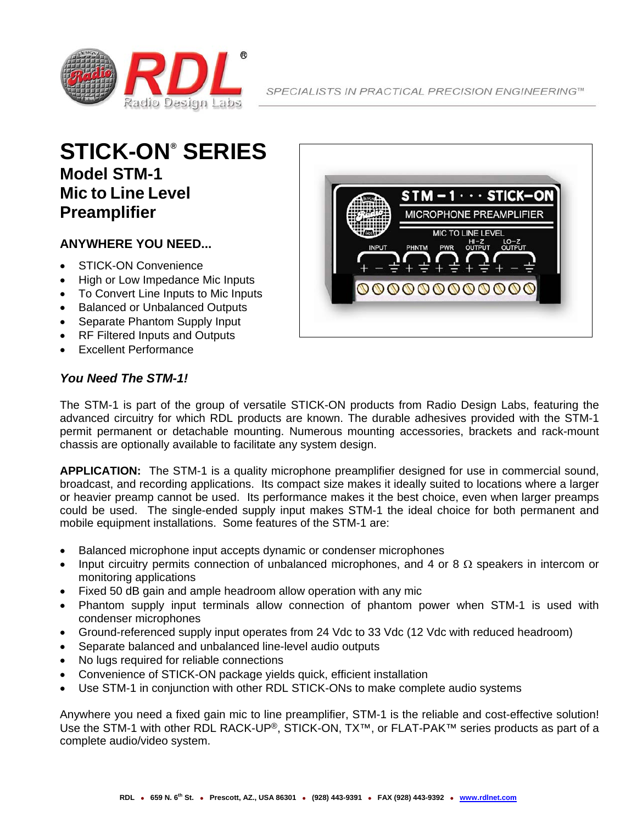

## **STICK-ON® SERIES Model STM-1 Mic to Line Level Preamplifier**

## **ANYWHERE YOU NEED...**

- STICK-ON Convenience
- High or Low Impedance Mic Inputs
- To Convert Line Inputs to Mic Inputs
- Balanced or Unbalanced Outputs
- Separate Phantom Supply Input
- RF Filtered Inputs and Outputs
- Excellent Performance

## $STM - 1 \cdot \cdot \cdot STICK - ON$ MICROPHONE PREAMPLIFIER **MIC TO LINE LEVEL** HI-Z LO-Z<br>OUTPUT OUTPUT PWR PHNTM **0000000000000**

## *You Need The STM-1!*

The STM-1 is part of the group of versatile STICK-ON products from Radio Design Labs, featuring the advanced circuitry for which RDL products are known. The durable adhesives provided with the STM-1 permit permanent or detachable mounting. Numerous mounting accessories, brackets and rack-mount chassis are optionally available to facilitate any system design.

**APPLICATION:** The STM-1 is a quality microphone preamplifier designed for use in commercial sound, broadcast, and recording applications. Its compact size makes it ideally suited to locations where a larger or heavier preamp cannot be used. Its performance makes it the best choice, even when larger preamps could be used. The single-ended supply input makes STM-1 the ideal choice for both permanent and mobile equipment installations. Some features of the STM-1 are:

- Balanced microphone input accepts dynamic or condenser microphones
- Input circuitry permits connection of unbalanced microphones, and 4 or 8  $\Omega$  speakers in intercom or monitoring applications
- Fixed 50 dB gain and ample headroom allow operation with any mic
- Phantom supply input terminals allow connection of phantom power when STM-1 is used with condenser microphones
- Ground-referenced supply input operates from 24 Vdc to 33 Vdc (12 Vdc with reduced headroom)
- Separate balanced and unbalanced line-level audio outputs
- No lugs required for reliable connections
- Convenience of STICK-ON package yields quick, efficient installation
- Use STM-1 in conjunction with other RDL STICK-ONs to make complete audio systems

Anywhere you need a fixed gain mic to line preamplifier, STM-1 is the reliable and cost-effective solution! Use the STM-1 with other RDL RACK-UP®, STICK-ON, TX<sup>™</sup>, or FLAT-PAK<sup>™</sup> series products as part of a complete audio/video system.